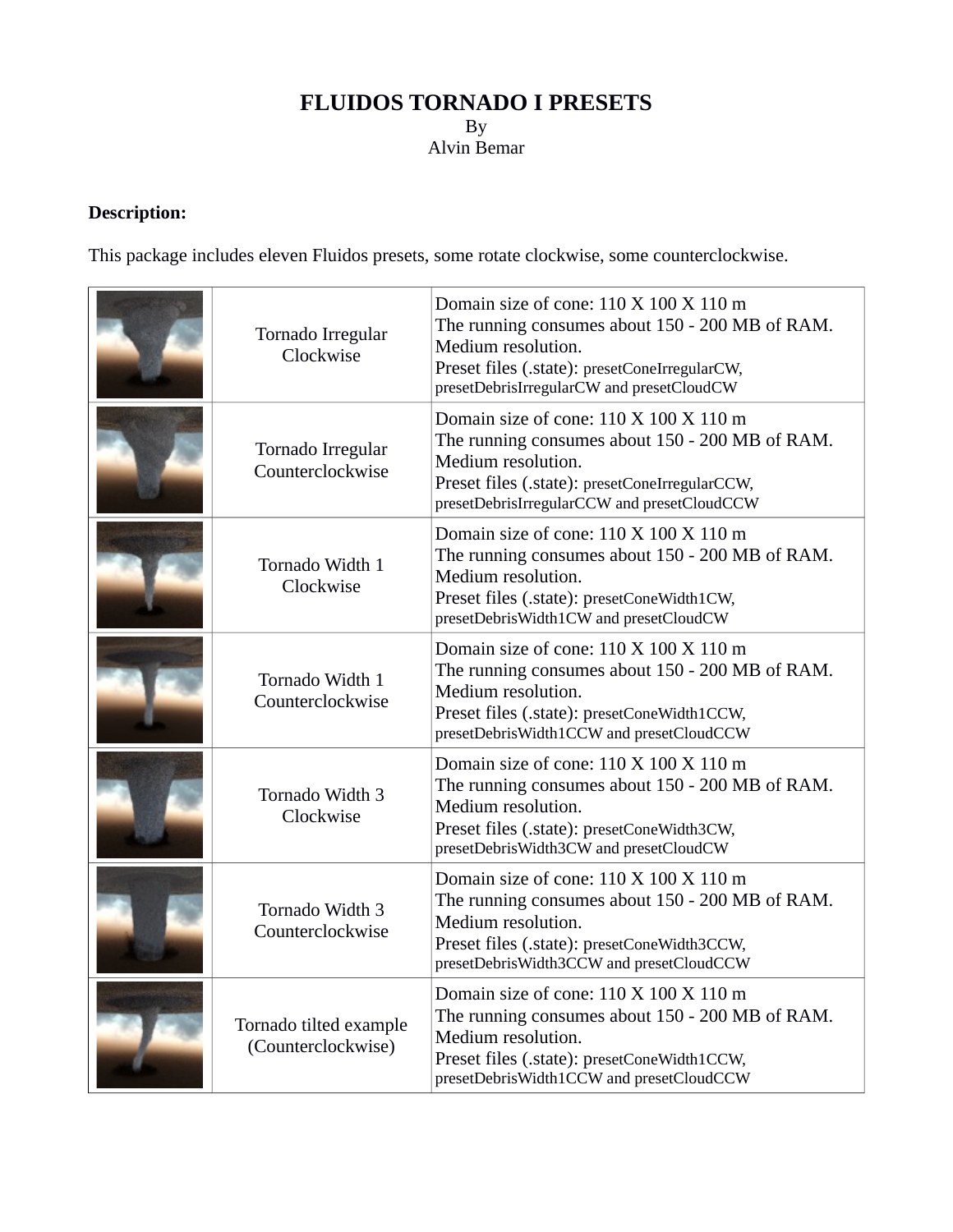# **FLUIDOS TORNADO I PRESETS** By Alvin Bemar

# **Description:**

This package includes eleven Fluidos presets, some rotate clockwise, some counterclockwise.

| Tornado Irregular<br>Clockwise               | Domain size of cone: 110 X 100 X 110 m<br>The running consumes about 150 - 200 MB of RAM.<br>Medium resolution.<br>Preset files (.state): presetConeIrregularCW,<br>presetDebrisIrregularCW and presetCloudCW    |
|----------------------------------------------|------------------------------------------------------------------------------------------------------------------------------------------------------------------------------------------------------------------|
| Tornado Irregular<br>Counterclockwise        | Domain size of cone: 110 X 100 X 110 m<br>The running consumes about 150 - 200 MB of RAM.<br>Medium resolution.<br>Preset files (.state): presetConeIrregularCCW,<br>presetDebrisIrregularCCW and presetCloudCCW |
| Tornado Width 1<br>Clockwise                 | Domain size of cone: 110 X 100 X 110 m<br>The running consumes about 150 - 200 MB of RAM.<br>Medium resolution.<br>Preset files (.state): presetConeWidth1CW,<br>presetDebrisWidth1CW and presetCloudCW          |
| Tornado Width 1<br>Counterclockwise          | Domain size of cone: 110 X 100 X 110 m<br>The running consumes about 150 - 200 MB of RAM.<br>Medium resolution.<br>Preset files (.state): presetConeWidth1CCW,<br>presetDebrisWidth1CCW and presetCloudCCW       |
| Tornado Width 3<br>Clockwise                 | Domain size of cone: 110 X 100 X 110 m<br>The running consumes about 150 - 200 MB of RAM.<br>Medium resolution.<br>Preset files (.state): presetConeWidth3CW,<br>presetDebrisWidth3CW and presetCloudCW          |
| Tornado Width 3<br>Counterclockwise          | Domain size of cone: 110 X 100 X 110 m<br>The running consumes about 150 - 200 MB of RAM.<br>Medium resolution.<br>Preset files (.state): presetConeWidth3CCW,<br>presetDebrisWidth3CCW and presetCloudCCW       |
| Tornado tilted example<br>(Counterclockwise) | Domain size of cone: 110 X 100 X 110 m<br>The running consumes about 150 - 200 MB of RAM.<br>Medium resolution.<br>Preset files (.state): presetConeWidth1CCW,<br>presetDebrisWidth1CCW and presetCloudCCW       |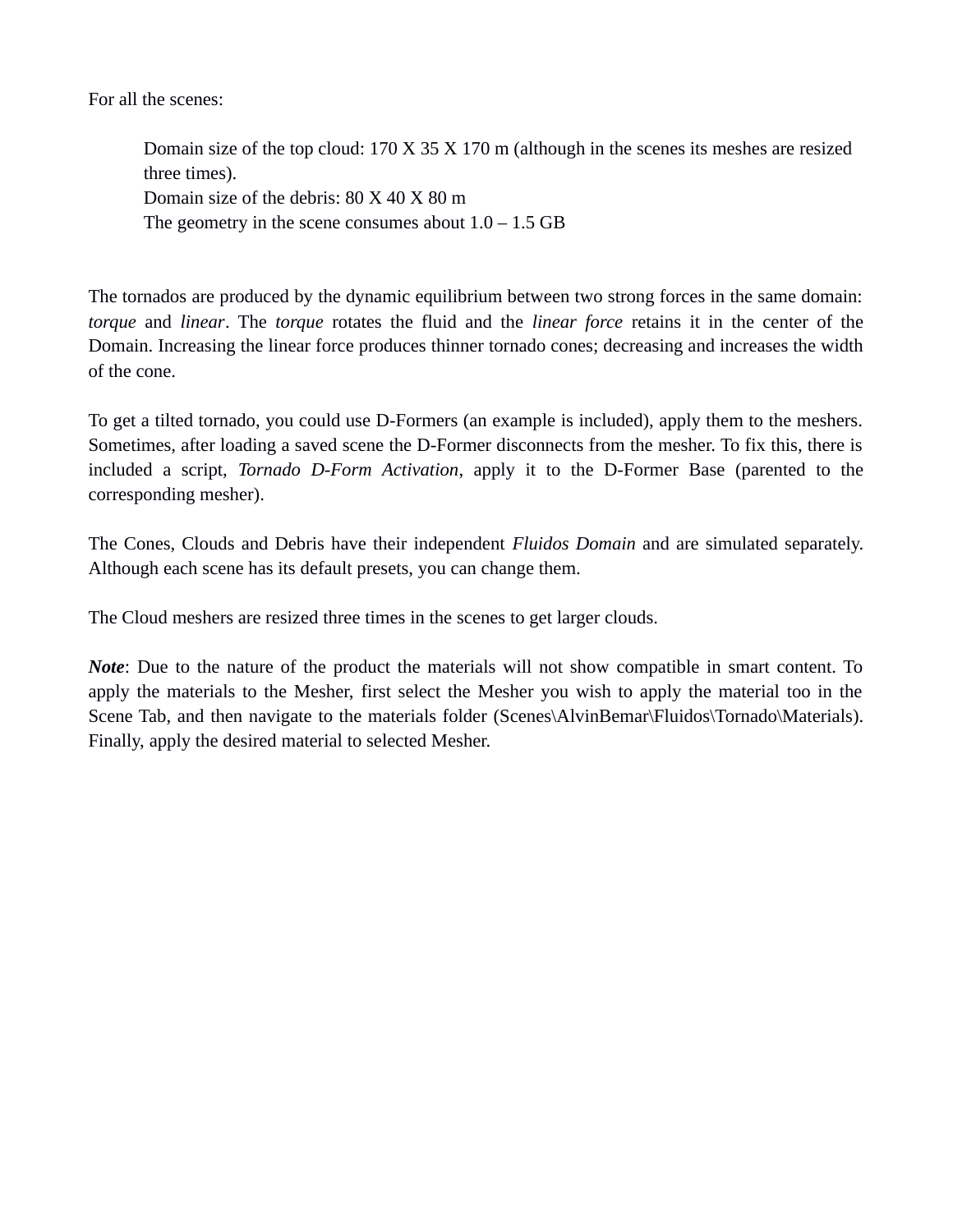For all the scenes:

Domain size of the top cloud: 170 X 35 X 170 m (although in the scenes its meshes are resized three times). Domain size of the debris: 80 X 40 X 80 m The geometry in the scene consumes about  $1.0 - 1.5$  GB

The tornados are produced by the dynamic equilibrium between two strong forces in the same domain: *torque* and *linear*. The *torque* rotates the fluid and the *linear force* retains it in the center of the Domain. Increasing the linear force produces thinner tornado cones; decreasing and increases the width of the cone.

To get a tilted tornado, you could use D-Formers (an example is included), apply them to the meshers. Sometimes, after loading a saved scene the D-Former disconnects from the mesher. To fix this, there is included a script, *Tornado D-Form Activation*, apply it to the D-Former Base (parented to the corresponding mesher).

The Cones, Clouds and Debris have their independent *Fluidos Domain* and are simulated separately. Although each scene has its default presets, you can change them.

The Cloud meshers are resized three times in the scenes to get larger clouds.

<span id="page-1-0"></span>*Note*: Due to the nature of the product the materials will not show compatible in smart content. To apply the materials to the Mesher, first select the Mesher you wish to apply the material too in the Scene Tab, and then navigate to the materials folder (Scenes\AlvinBemar\Fluidos\Tornado\Materials). Finally, apply the desired material to selected Mesher.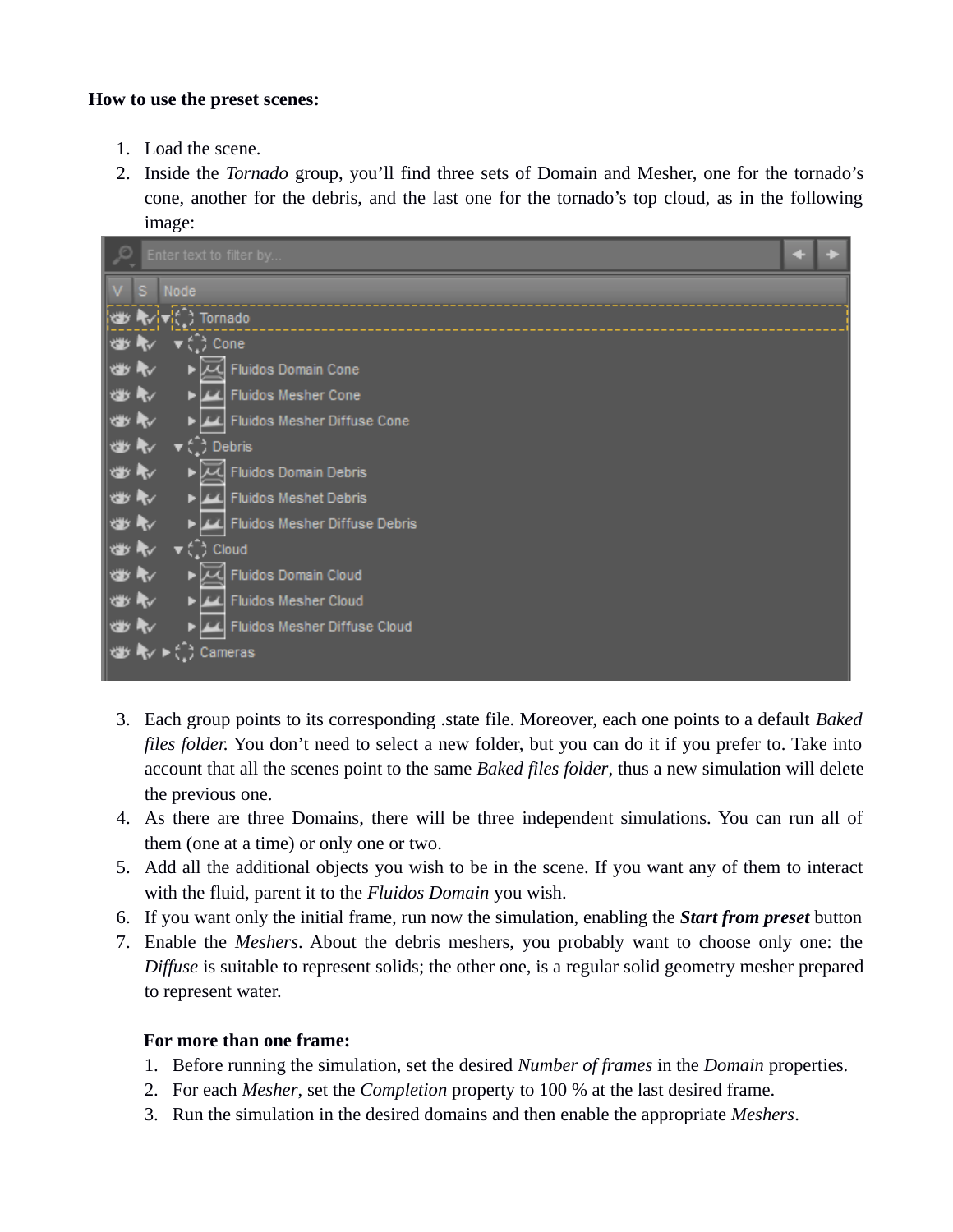#### **How to use the preset scenes:**

- 1. Load the scene.
- 2. Inside the *Tornado* group, you'll find three sets of Domain and Mesher, one for the tornado's cone, another for the debris, and the last one for the tornado's top cloud, as in the following image:



- 3. Each group points to its corresponding .state file. Moreover, each one points to a default *Baked files folder.* You don't need to select a new folder, but you can do it if you prefer to. Take into account that all the scenes point to the same *Baked files folder*, thus a new simulation will delete the previous one.
- 4. As there are three Domains, there will be three independent simulations. You can run all of them (one at a time) or only one or two.
- 5. Add all the additional objects you wish to be in the scene. If you want any of them to interact with the fluid, parent it to the *Fluidos Domain* you wish.
- 6. If you want only the initial frame, run now the simulation, enabling the *Start from preset* button
- 7. Enable the *Meshers*. About the debris meshers, you probably want to choose only one: the *Diffuse* is suitable to represent solids; the other one, is a regular solid geometry mesher prepared to represent water.

## **For more than one frame:**

- 1. Before running the simulation, set the desired *Number of frames* in the *Domain* properties.
- 2. For each *Mesher*, set the *Completion* property to 100 % at the last desired frame.
- 3. Run the simulation in the desired domains and then enable the appropriate *Meshers*.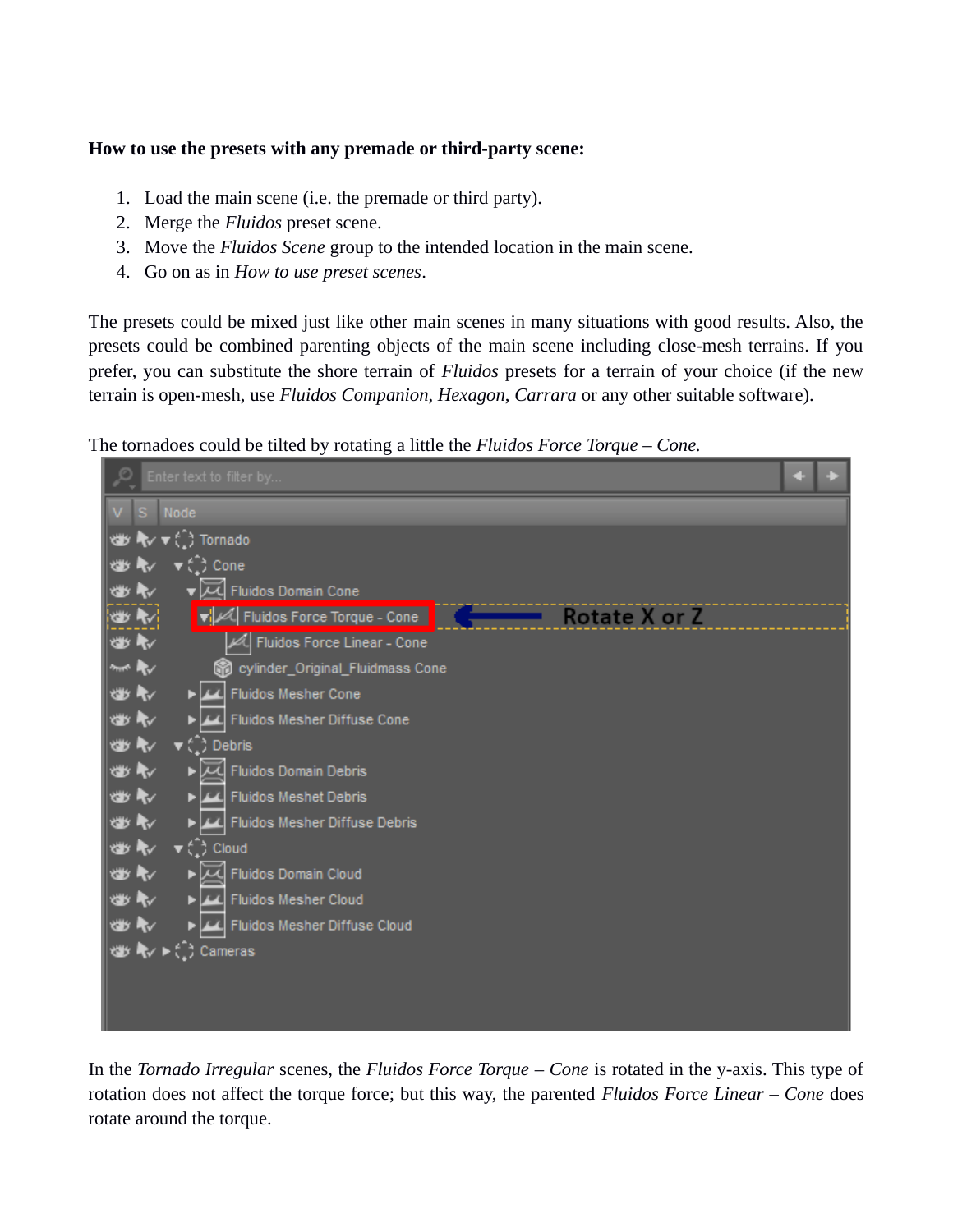#### **How to use the presets with any premade or third-party scene:**

- 1. Load the main scene (i.e. the premade or third party).
- 2. Merge the *Fluidos* preset scene.
- 3. Move the *Fluidos Scene* group to the intended location in the main scene.
- 4. Go on as in *How to use preset scenes*.

The presets could be mixed just like other main scenes in many situations with good results. Also, the presets could be combined parenting objects of the main scene including close-mesh terrains. If you prefer, you can substitute the shore terrain of *Fluidos* presets for a terrain of your choice (if the new terrain is open-mesh, use *Fluidos Companion*, *Hexagon*, *Carrara* or any other suitable software).

The tornadoes could be tilted by rotating a little the *Fluidos Force Torque – Cone.*



In the *Tornado Irregular* scenes, the *Fluidos Force Torque* – *Cone* is rotated in the y-axis. This type of rotation does not affect the torque force; but this way, the parented *Fluidos Force Linear – Cone* does rotate around the torque.